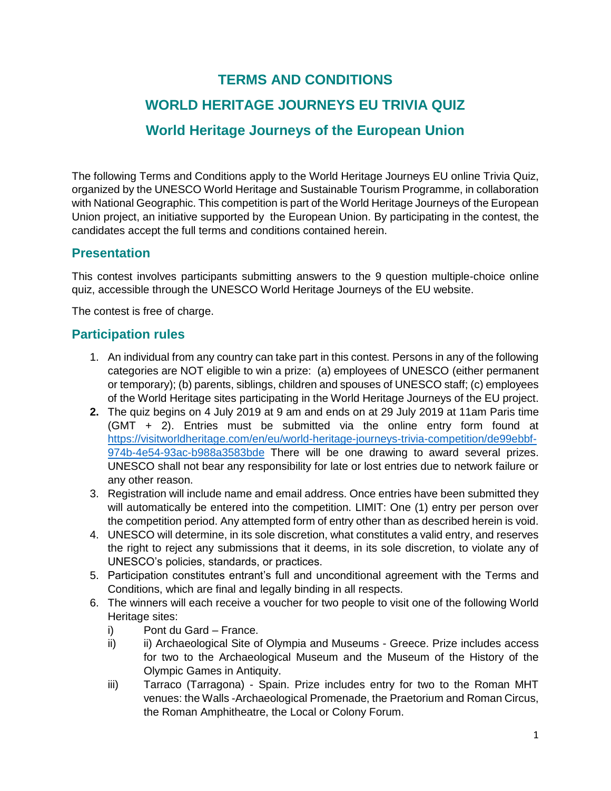## **TERMS AND CONDITIONS**

# **WORLD HERITAGE JOURNEYS EU TRIVIA QUIZ**

### **World Heritage Journeys of the European Union**

The following Terms and Conditions apply to the World Heritage Journeys EU online Trivia Quiz, organized by the UNESCO World Heritage and Sustainable Tourism Programme, in collaboration with National Geographic. This competition is part of the World Heritage Journeys of the European Union project, an initiative supported by the European Union. By participating in the contest, the candidates accept the full terms and conditions contained herein.

### **Presentation**

This contest involves participants submitting answers to the 9 question multiple-choice online quiz, accessible through the UNESCO World Heritage Journeys of the EU website.

The contest is free of charge.

### **Participation rules**

- 1. An individual from any country can take part in this contest. Persons in any of the following categories are NOT eligible to win a prize: (a) employees of UNESCO (either permanent or temporary); (b) parents, siblings, children and spouses of UNESCO staff; (c) employees of the World Heritage sites participating in the World Heritage Journeys of the EU project.
- **2.** The quiz begins on 4 July 2019 at 9 am and ends on at 29 July 2019 at 11am Paris time (GMT + 2). Entries must be submitted via the online entry form found at [https://visitworldheritage.com/en/eu/world-heritage-journeys-trivia-competition/de99ebbf-](https://visitworldheritage.com/en/eu/world-heritage-journeys-trivia-competition/de99ebbf-974b-4e54-93ac-b988a3583bde)[974b-4e54-93ac-b988a3583bde](https://visitworldheritage.com/en/eu/world-heritage-journeys-trivia-competition/de99ebbf-974b-4e54-93ac-b988a3583bde) There will be one drawing to award several prizes. UNESCO shall not bear any responsibility for late or lost entries due to network failure or any other reason.
- 3. Registration will include name and email address. Once entries have been submitted they will automatically be entered into the competition. LIMIT: One (1) entry per person over the competition period. Any attempted form of entry other than as described herein is void.
- 4. UNESCO will determine, in its sole discretion, what constitutes a valid entry, and reserves the right to reject any submissions that it deems, in its sole discretion, to violate any of UNESCO's policies, standards, or practices.
- 5. Participation constitutes entrant's full and unconditional agreement with the Terms and Conditions, which are final and legally binding in all respects.
- 6. The winners will each receive a voucher for two people to visit one of the following World Heritage sites:
	- i) Pont du Gard France.
	- ii) ii) Archaeological Site of Olympia and Museums Greece. Prize includes access for two to the Archaeological Museum and the Museum of the History of the Olympic Games in Antiquity.
	- iii) Tarraco (Tarragona) Spain. Prize includes entry for two to the Roman MHT venues: the Walls -Archaeological Promenade, the Praetorium and Roman Circus, the Roman Amphitheatre, the Local or Colony Forum.